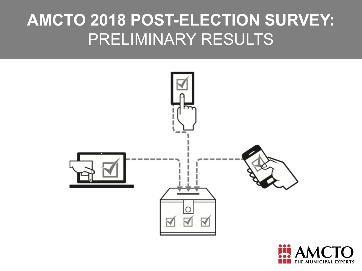# **AMCTO 2018 POST-ELECTION SURVEY:**  PRELIMINARY RESULTS



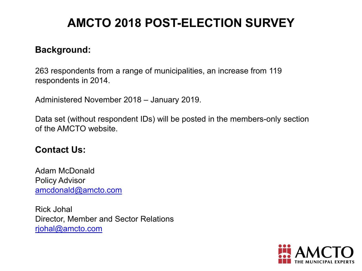# **AMCTO 2018 POST-ELECTION SURVEY**

#### **Background:**

263 respondents from a range of municipalities, an increase from 119 respondents in 2014.

Administered November 2018 – January 2019.

Data set (without respondent IDs) will be posted in the members-only section of the AMCTO website.

#### **Contact Us:**

Adam McDonald Policy Advisor [amcdonald@amcto.com](mailto:amcdonald@amcto.com)

Rick Johal Director, Member and Sector Relations [rjohal@amcto.com](mailto:rjohal@amcto.com)

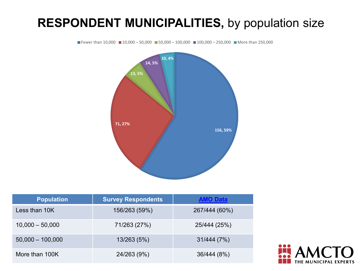#### **RESPONDENT MUNICIPALITIES,** by population size



| <b>Population</b>  | <b>Survey Respondents</b> | <b>AMO Data</b> |
|--------------------|---------------------------|-----------------|
| Less than 10K      | 156/263 (59%)             | 267/444 (60%)   |
| $10,000 - 50,000$  | 71/263 (27%)              | 25/444 (25%)    |
| $50,000 - 100,000$ | 13/263 (5%)               | 31/444 (7%)     |
| More than 100K     | 24/263 (9%)               | 36/444 (8%)     |

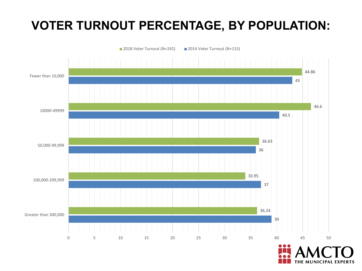# **VOTER TURNOUT PERCENTAGE, BY POPULATION:**

■ 2018 Voter Turnout (N=242) ■ 2014 Voter Turnout (N=115)



THE MUNICIPAL EXPERTS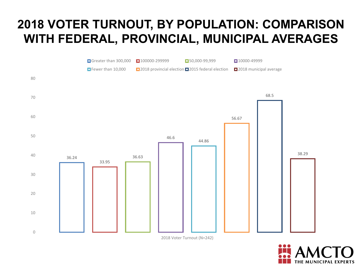#### **2018 VOTER TURNOUT, BY POPULATION: COMPARISON WITH FEDERAL, PROVINCIAL, MUNICIPAL AVERAGES**



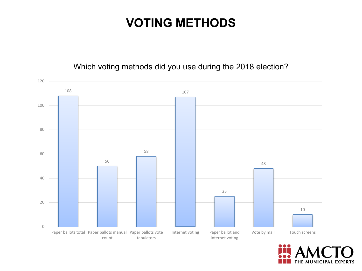#### **VOTING METHODS**

#### Which voting methods did you use during the 2018 election?



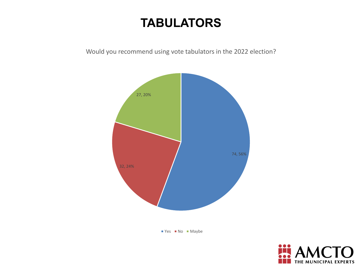#### **TABULATORS**

Would you recommend using vote tabulators in the 2022 election?



 $Yes$  No Maybe

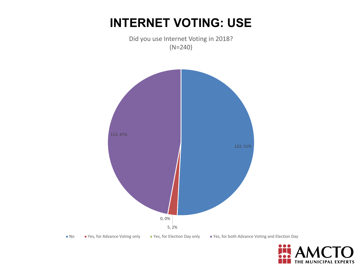#### **INTERNET VOTING: USE**





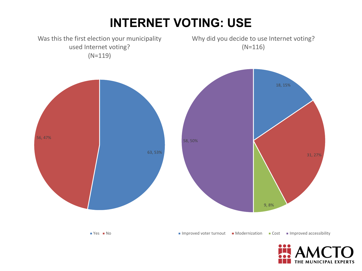# **INTERNET VOTING: USE**



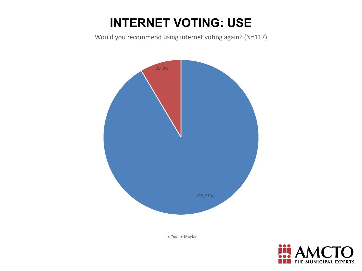# **INTERNET VOTING: USE**

Would you recommend using internet voting again? (N=117)



■ Yes ■ Maybe

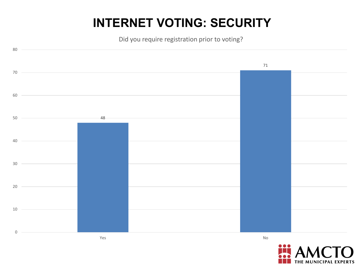# **INTERNET VOTING: SECURITY**

Did you require registration prior to voting?



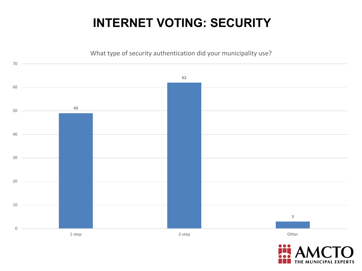### **INTERNET VOTING: SECURITY**



THE MUNICIPAL EXPERTS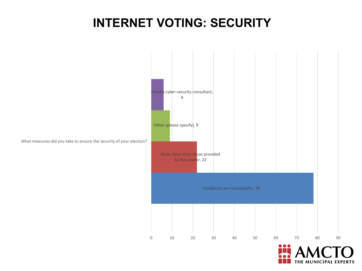#### **INTERNET VOTING: SECURITY**



What measures did you take to ensure the security of your election?

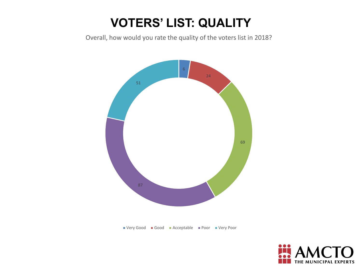# **VOTERS' LIST: QUALITY**

Overall, how would you rate the quality of the voters list in 2018?



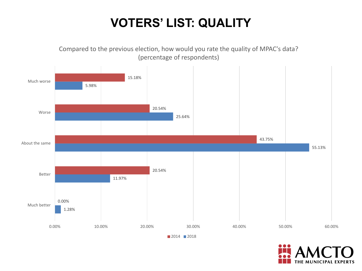# **VOTERS' LIST: QUALITY**



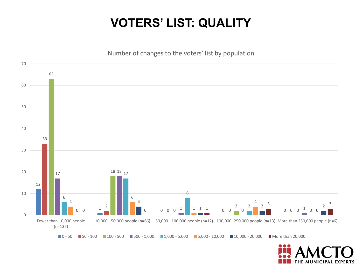#### **VOTERS' LIST: QUALITY**



**MUNICIPAL EXPERTS**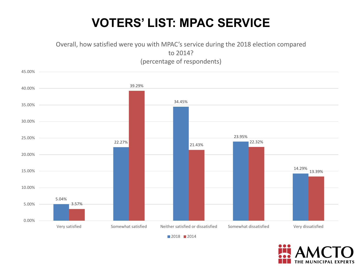#### **VOTERS' LIST: MPAC SERVICE**

Overall, how satisfied were you with MPAC's service during the 2018 election compared to 2014? (percentage of respondents)





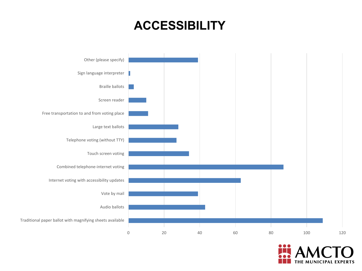#### **ACCESSIBILITY**



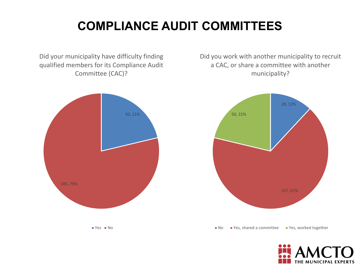# **COMPLIANCE AUDIT COMMITTEES**

Did your municipality have difficulty finding qualified members for its Compliance Audit Committee (CAC)?



Did you work with another municipality to recruit a CAC, or share a committee with another municipality?



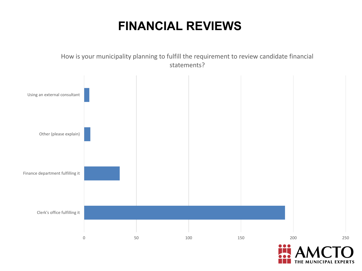#### **FINANCIAL REVIEWS**

How is your municipality planning to fulfill the requirement to review candidate financial statements?



THE MUNICIPAL EXPERTS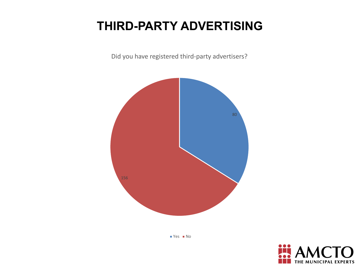# **THIRD-PARTY ADVERTISING**

Did you have registered third-party advertisers?





 $Yes$  No